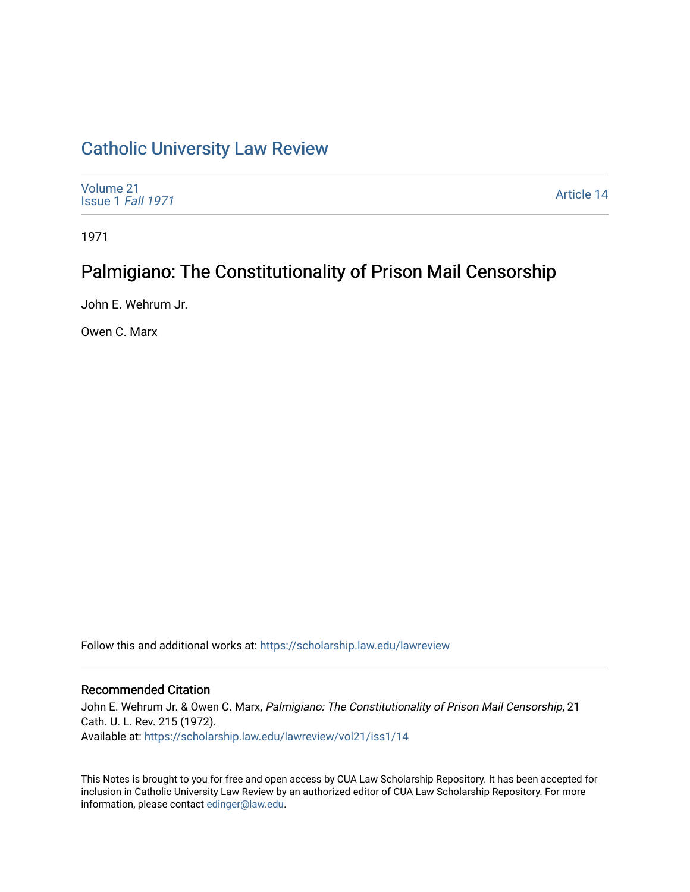## [Catholic University Law Review](https://scholarship.law.edu/lawreview)

| Volume 21<br>Issue 1 Fall 1971 | Article 14 |
|--------------------------------|------------|
|--------------------------------|------------|

1971

# Palmigiano: The Constitutionality of Prison Mail Censorship

John E. Wehrum Jr.

Owen C. Marx

Follow this and additional works at: [https://scholarship.law.edu/lawreview](https://scholarship.law.edu/lawreview?utm_source=scholarship.law.edu%2Flawreview%2Fvol21%2Fiss1%2F14&utm_medium=PDF&utm_campaign=PDFCoverPages)

### Recommended Citation

John E. Wehrum Jr. & Owen C. Marx, Palmigiano: The Constitutionality of Prison Mail Censorship, 21 Cath. U. L. Rev. 215 (1972). Available at: [https://scholarship.law.edu/lawreview/vol21/iss1/14](https://scholarship.law.edu/lawreview/vol21/iss1/14?utm_source=scholarship.law.edu%2Flawreview%2Fvol21%2Fiss1%2F14&utm_medium=PDF&utm_campaign=PDFCoverPages) 

This Notes is brought to you for free and open access by CUA Law Scholarship Repository. It has been accepted for inclusion in Catholic University Law Review by an authorized editor of CUA Law Scholarship Repository. For more information, please contact [edinger@law.edu.](mailto:edinger@law.edu)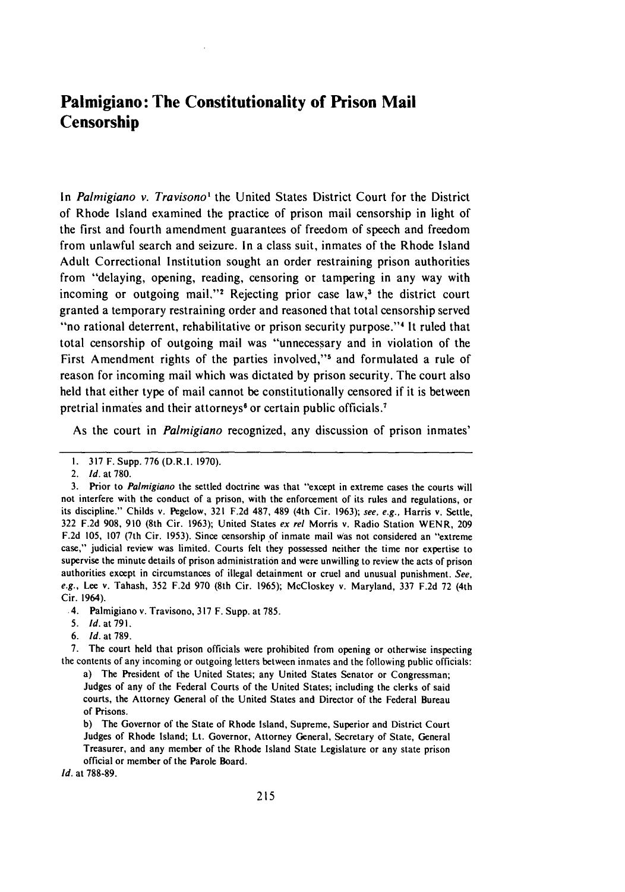### **Palmigiano: The Constitutionality of Prison Mail Censorship**

In *Palmigiano v. Travisono'* the United States District Court for the District of Rhode Island examined the practice of prison mail censorship in light of the first and fourth amendment guarantees of freedom of speech and freedom from unlawful search and seizure. In a class suit, inmates of the Rhode Island Adult Correctional Institution sought an order restraining prison authorities from "delaying, opening, reading, censoring or tampering in any way with incoming or outgoing mail,"<sup>2</sup> Rejecting prior case law,<sup>3</sup> the district court granted a temporary restraining order and reasoned that total censorship served "no rational deterrent, rehabilitative or prison security purpose."<sup>4</sup> It ruled that total censorship of outgoing mail was "unnecessary and in violation of the First Amendment rights of the parties involved,"<sup>5</sup> and formulated a rule of reason for incoming mail which was dictated by prison security. The court also held that either type of mail cannot be constitutionally censored if it is between pretrial inmates and their attorneys<sup>6</sup> or certain public officials.<sup>7</sup>

As the court in *Palmigiano* recognized, any discussion of prison inmates'

.4. Palmigiano v. Travisono, 317 F. Supp. at 785.

6. *Id.* at 789.

7. The court held that prison officials were prohibited from opening or otherwise inspecting the contents of any incoming or outgoing letters between inmates and the following public officials:

a) The President of the United States; any United States Senator or Congressman; Judges of any of the Federal Courts of the United States; including the clerks of said courts, the Attorney General of the United States and Director of the Federal Bureau of Prisons.

b) The Governor of the State of Rhode Island, Supreme, Superior and District Court Judges of Rhode Island; Lt. Governor, Attorney General, Secretary of State, General Treasurer, and any member of the Rhode Island State Legislature or any state prison official or member of the Parole Board.

*Id.* at **788-89.**

I. 317 F. Supp. 776 (D.R.I. 1970).

<sup>2.</sup> *Id.* at 780.

<sup>3.</sup> Prior to *Palmigiano* the settled doctrine was that "except in extreme cases the courts will not interfere with the conduct of a prison, with the enforcement of its rules and regulations, or its discipline." Childs v. Pegelow, 321 F.2d 487, 489 (4th Cir. 1963); *see, e.g.,* Harris v. Settle, 322 F.2d 908, **910** (8th Cir. 1963); United States *ex rel* Morris v. Radio Station WENR, 209 F.2d 105, 107 (7th Cir. 1953). Since censorship of inmate mail Was not considered an "extreme case," judicial review was limited. Courts felt they possessed neither the time nor expertise to supervise the minute details of prison administration and were unwilling to review the acts of prison authorities except in circumstances of illegal detainment or cruel and unusual punishment. *See, e.g.,* Lee v. Tahash, 352 F.2d 970 (8th Cir. 1965); McCloskey v. Maryland, 337 F.2d 72 (4th Cir. 1964).

<sup>5.</sup> **Id.** at 791.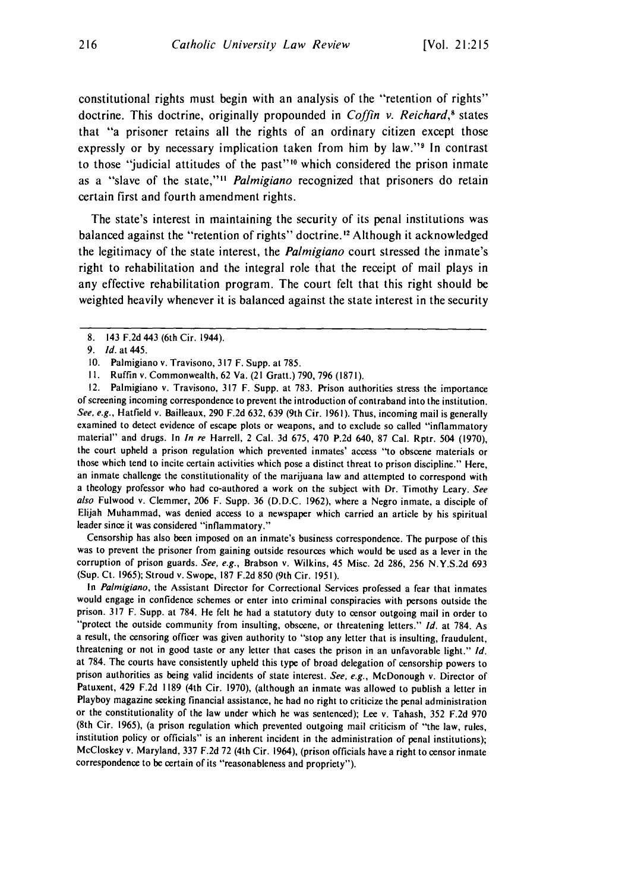constitutional rights must begin with an analysis of the "retention of rights" doctrine. This doctrine, originally propounded in Coffin v. Reichard,*8* states that "a prisoner retains all the rights of an ordinary citizen except those expressly or by necessary implication taken from him by law."<sup>9</sup> In contrast to those "judicial attitudes of the past"" which considered the prison inmate as a "slave of the state,"<sup>11</sup> Palmigiano recognized that prisoners do retain certain first and fourth amendment rights.

The state's interest in maintaining the security of its penal institutions was balanced against the "retention of rights" doctrine.12 Although it acknowledged the legitimacy of the state interest, the *Palmigiano* court stressed the inmate's right to rehabilitation and the integral role that the receipt of mail plays in any effective rehabilitation program. The court felt that this right should be weighted heavily whenever it is balanced against the state interest in the security

12. Palmigiano v. Travisono, 317 F. Supp. at 783. Prison authorities stress the importance of screening incoming correspondence to prevent the introduction of contraband into the institution. See, e.g., Hatfield v. Bailleaux, 290 F.2d 632, 639 (9th Cir. 1961). Thus, incoming mail is generally examined to detect evidence of escape plots or weapons, and to exclude so called "inflammatory material" and drugs. In In re Harrell, 2 Cal. 3d 675, 470 P.2d 640, 87 Cal. Rptr. 504 (1970), the court upheld a prison regulation which prevented inmates' access "to obscene materials or those which tend to incite certain activities which pose a distinct threat to prison discipline." Here, an inmate challenge the constitutionality of the marijuana law and attempted to correspond with a theology professor who had co-authored a work on the subject with Dr. Timothy Leary. See *also* Fulwood v. Clemmer, 206 F. Supp. 36 (D.D.C. 1962), where a Negro inmate, a disciple of Elijah Muhammad, was denied access to a newspaper which carried an article by his spiritual leader since it was considered "inflammatory."

Censorship has also been imposed on an inmate's business correspondence. The purpose of this was to prevent the prisoner from gaining outside resources which would be used as a lever in the corruption of prison guards. See, e.g., Brabson v. Wilkins, 45 Misc. 2d 286, 256 N.Y.S.2d 693 (Sup. Ct. 1965); Stroud v. Swope, 187 F.2d 850 (9th Cir. 1951).

In Palmigiano, the Assistant Director for Correctional Services professed a fear that inmates would engage in confidence schemes or enter into criminal conspiracies with persons outside the prison. 317 F. Supp. at 784. He felt he had a statutory duty to censor outgoing mail in order to "protect the outside community from insulting, obscene, or threatening letters." Id. at 784. As a result, the censoring officer was given authority to "stop any letter that is insulting, fraudulent, threatening or not in good taste or any letter that cases the prison in an unfavorable light." **Id.** at 784. The courts have consistently upheld this type of broad delegation of censorship powers to prison authorities as being valid incidents of state interest. See, e.g., McDonough v. Director of Patuxent, 429 F.2d 1189 (4th Cir. 1970), (although an inmate was allowed to publish a letter in Playboy magazine seeking financial assistance, he had no right to criticize the penal administration or the constitutionality of the law under which he was sentenced); Lee v. Tahash, 352 F.2d 970 (8th Cir. 1965), (a prison regulation which prevented outgoing mail criticism of "the law, rules, institution policy or officials" is an inherent incident in the administration of penal institutions); McCloskey v. Maryland, 337 F.2d 72 (4th Cir. 1964), (prison officials have a right to censor inmate correspondence to be certain of its "reasonableness and propriety").

<sup>8. 143</sup> F.2d 443 (6th Cir. 1944).

<sup>9.</sup> **Id.** at 445.

<sup>10.</sup> Palmigiano v. Travisono, 317 F. Supp. at 785.

**I1.** Ruffin v. Commonwealth, 62 Va. (21 Gratt.) 790, 796 (1871).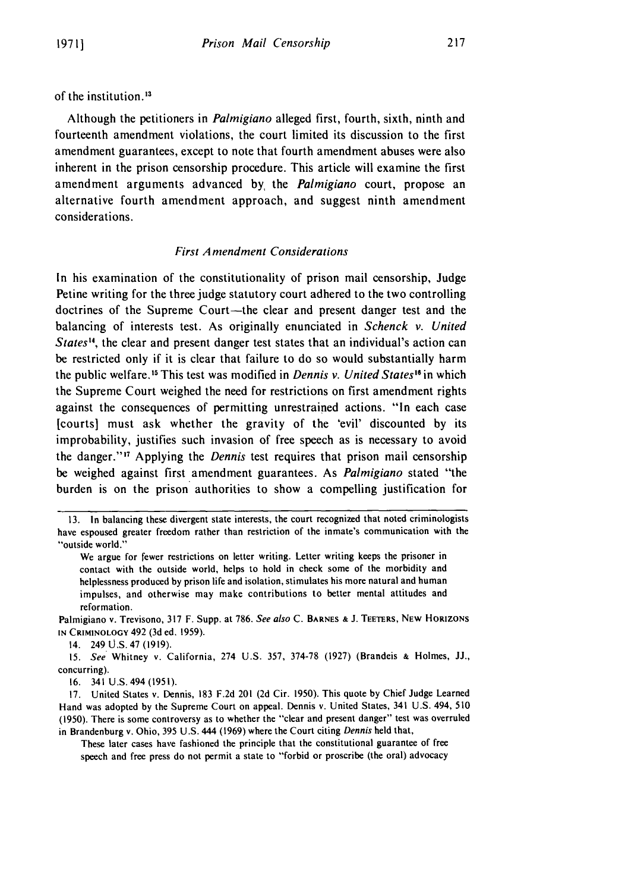of the institution.13

Although the petitioners in *Palmigiano* alleged first, fourth, sixth, ninth and fourteenth amendment violations, the court limited its discussion to the first amendment guarantees, except to note that fourth amendment abuses were also inherent in the prison censorship procedure. This article will examine the first amendment arguments advanced **by,** the *Palmigiano* court, propose an alternative fourth amendment approach, and suggest ninth amendment considerations.

#### *First Amendment Considerations*

In his examination of the constitutionality of prison mail censorship, Judge Petine writing for the three judge statutory court adhered to the two controlling doctrines of the Supreme Court-the clear and present danger test and the balancing of interests test. As originally enunciated in *Schenck v. United States",* the clear and present danger test states that an individual's action can be restricted only if it is clear that failure to do so would substantially harm the public welfare.<sup>15</sup> This test was modified in *Dennis v. United States*<sup>16</sup> in which the Supreme Court weighed the need for restrictions on first amendment rights against the consequences of permitting unrestrained actions. "In each case [courts] must ask whether the gravity of the 'evil' discounted by its improbability, justifies such invasion of free speech as is necessary to avoid the danger."' 7 Applying the *Dennis* test requires that prison mail censorship be weighed against first amendment guarantees. As *Palmigiano* stated "the burden is on the prison authorities to show a compelling justification for

14. 249 U.S. 47 (1919).

*15. See* Whitney v. California, 274 U.S. 357, 374-78 (1927) (Brandeis **&** Holmes, **JJ.,** concurring).

16. 341 U.S. 494 (1951).

These later cases have fashioned the principle that the constitutional guarantee of free speech and free press do not permit a state to "forbid or proscribe (the oral) advocacy

<sup>13.</sup> In balancing these divergent state interests, the court recognized that noted criminologists have espoused greater freedom rather than restriction of the inmate's communication with the "outside world."

We argue for fewer restrictions on letter writing. Letter writing keeps the prisoner in contact with the outside world, helps to hold in check some of the morbidity and helplessness produced by prison life and isolation, stimulates his more natural and human impulses, and otherwise may make contributions to better mental attitudes and reformation.

Palmigiano v. Trevisono, 317 F. Supp. at 786. See also C. **BARNES &** J. **TEETERS, NEW HORIZONS IN CRIMINOLOGY** 492 (3d ed. 1959).

<sup>17.</sup> United States v. Dennis, 183 F.2d 201 (2d Cir. 1950). This quote by Chief Judge Learned Hand was adopted by the Supreme Court on appeal. Dennis v. United States, 341 U.S. 494, 510 (1950). There is some controversy as to whether the "clear and present danger" test was overruled in Brandenburg v. Ohio, 395 U.S. 444 (1969) where the Court citing Dennis held that,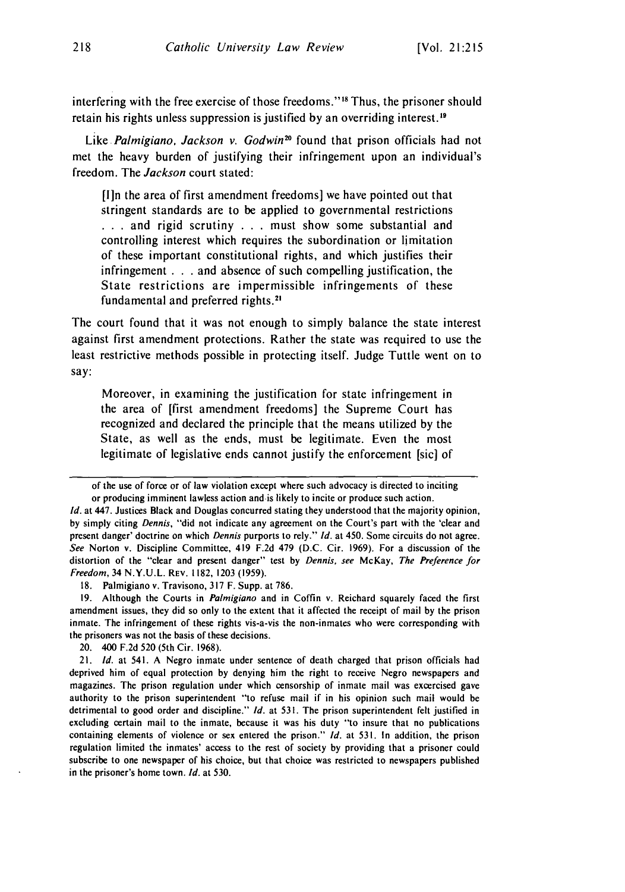interfering with the free exercise of those freedoms."<sup>18</sup> Thus, the prisoner should retain his rights unless suppression is justified by an overriding interest.19

Like *Palmigiano, Jackson v. Godwin*<sup>20</sup> found that prison officials had not met the heavy burden of justifying their infringement upon an individual's freedom. The *Jackson* court stated:

[ln the area of first amendment freedoms] we have pointed out that stringent standards are to be applied to governmental restrictions **.** . . and rigid scrutiny . . . must show some substantial and controlling interest which requires the subordination or limitation of these important constitutional rights, and which justifies their infringement **. . .** and absence of such compelling justification, the State restrictions are impermissible infringements of these fundamental and preferred rights. <sup>21</sup>

The court found that it was not enough to simply balance the state interest against first amendment protections. Rather the state was required to use the least restrictive methods possible in protecting itself. Judge Tuttle went on to say:

Moreover, in examining the justification for state infringement in the area of [first amendment freedoms] the Supreme Court has recognized and declared the principle that the means utilized by the State, as well as the ends, must be legitimate. Even the most legitimate of legislative ends cannot justify the enforcement [sic] of

18. Palmigiano v. Travisono, 317 F. Supp. at 786.

19. Although the Courts in *Palmigiano* and in Coffin v. Reichard squarely faced the first amendment issues, they did so only to the extent that it affected the receipt of mail by the prison inmate. The infringement of these rights vis-a-vis the non-inmates who were corresponding with the prisoners was not the basis of these decisions.

20. 400 F.2d 520 (5th Cir. 1968).

21. Id. at 541. A Negro inmate under sentence of death charged that prison officials had deprived him of equal protection by denying him the right to receive Negro newspapers and magazines. The prison regulation under which censorship of inmate mail was excercised gave authority to the prison superintendent "to refuse mail if in his opinion such mail would be detrimental to good order and discipline." *Id.* at 531. The prison superintendent felt justified in excluding certain mail to the inmate, because it was his duty "to insure that no publications containing elements of violence or sex entered the prison." *Id.* at 531. In addition, the prison regulation limited the inmates' access to the rest of society by providing that a prisoner could subscribe to one newspaper of his choice, but that choice was restricted to newspapers published in the prisoner's home town. *Id.* at 530.

of the use of force or of law violation except where such advocacy is directed to inciting or producing imminent lawless action and is likely to incite or produce such action.

*Id.* at 447. Justices Black and Douglas concurred stating they understood that the majority opinion, by simply citing Dennis, "did not indicate any agreement on the Court's part with the 'clear and present danger' doctrine on which Dennis purports to rely." *Id.* at 450. Some circuits do not agree. See Norton v. Discipline Committee, 419 F.2d 479 (D.C. Cir. 1969). For a discussion of the distortion of the "clear and present danger" test by Dennis, see McKay, The Preference for Freedom, 34 N.Y.U.L. REV. 1182, 1203 (1959).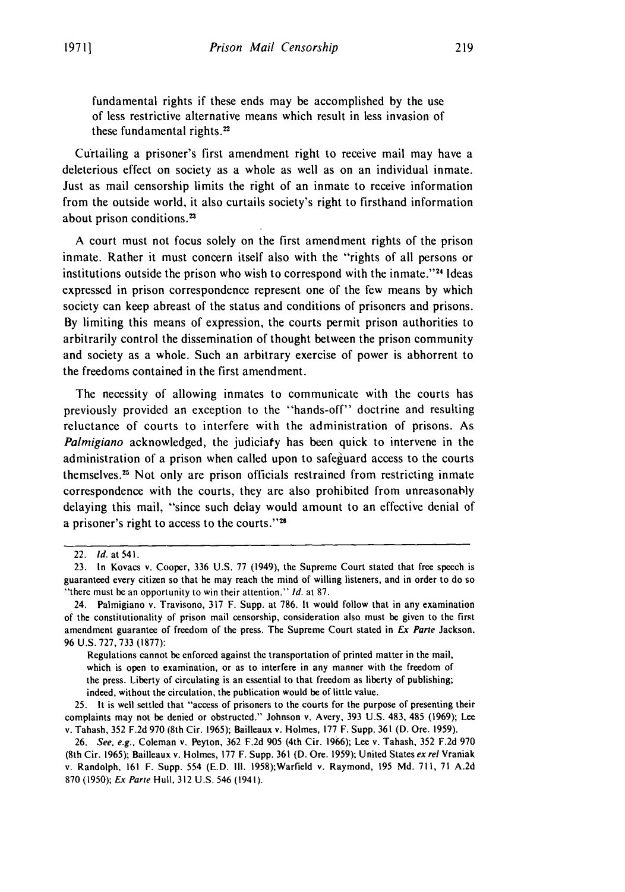fundamental rights if these ends may **be** accomplished **by** the use of less restrictive alternative means which result in less invasion of these fundamental rights. $22$ 

Curtailing a prisoner's first amendment right to receive mail may have a deleterious effect on society as a whole as well as on an individual inmate. Just as mail censorship limits the right of an inmate to receive information from the outside world, it also curtails society's right to firsthand information about prison conditions.<sup>23</sup>

**A** court must not focus solely on the first amendment rights of the prison inmate. Rather it must concern itself also with the "rights of all persons or institutions outside the prison who wish to correspond with the inmate."<sup>24</sup> Ideas expressed in prison correspondence represent one of the few means **by** which society can keep abreast of the **status** and conditions of prisoners and prisons. **By** limiting this means of expression, the courts permit prison authorities to arbitrarily control the dissemination of thought between the prison community and society as a whole. Such an arbitrary exercise of power is abhorrent to the freedoms contained in the first amendment.

The necessity of allowing inmates to communicate with the courts has previously provided an exception to the "hands-off" doctrine and resulting reluctance of courts to interfere with the administration of prisons. As *Palmigiano* acknowledged, the judiciary has been quick to intervene in the administration of a prison when called upon to safeguard access to the courts themselves.<sup>25</sup> Not only are prison officials restrained from restricting inmate correspondence with the courts, they are also prohibited from unreasonably delaying this mail, "since such delay would amount to an effective denial **of** a prisoner's right to access to the courts."26

Regulations cannot be enforced against the transportation of printed matter in the mail, which is open to examination, or as to interfere in any manner with the freedom of the press. Liberty of circulating is an essential to that freedom as liberty of publishing; indeed, without the circulation, the publication would be of little value.

**25.** It is well settled that "access of prisoners to the courts for the purpose of presenting their complaints may not be denied or obstructed." Johnson v. Avery, **393 U.S.** 483, 485 **(1969);** Lee v. Tahash, **352 F.2d 970** (8th Cir. **1965);** Bailleaux v. Holmes, **177** F. Supp. **361 (D.** Ore. **1959).**

<sup>22.</sup> *Id.* at **541.**

**<sup>23.</sup>** In Kovacs v. Cooper, **336 U.S. 77** (1949), the Supreme Court stated that free speech is guaranteed every citizen so that he may reach the mind of willing listeners, and in order to do so "there must be an opportunity to win their attention." *Id.* at **87.**

<sup>24.</sup> Palmigiano v. Travisono, **317** F. Supp. at **786.** It would follow that in any examination of the constitutionality of prison mail censorship, consideration also must **be** given to the first amendment guarantee of freedom of the press. The Supreme Court stated in *Ex Parte* Jackson, **96 U.S. 727, 733 (1877):**

**<sup>26.</sup>** *See, e.g.,* Coleman v. Peyton, **362 F.2d 905** (4th Cir. **1966);** Lee v. Tahash, **352 F.2d 970** (8th Cir. **1965);** Bailleaux v. Holmes, **177** F. Supp. **361 (D.** Ore. **1959);** United States ex rel Vraniak v. Randolph, **161** F. Supp. 554 **(E.D. Ill.** 1958);Warfield v. Raymond, **195 Md. 711, 71 A.2d 870 (1950);** *Ex* **Parte** Hull, **312 U.S.** 546 (1941).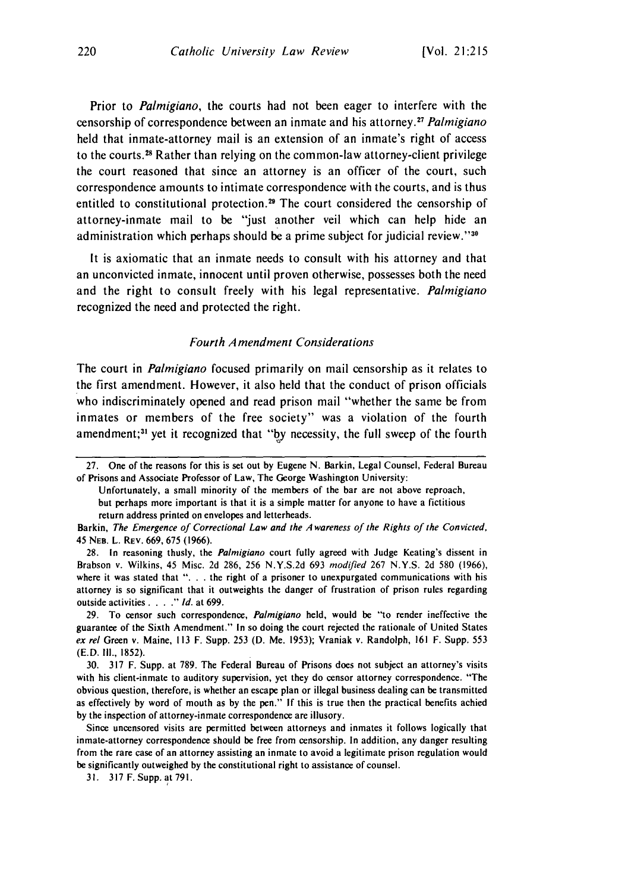Prior to *Palmigiano,* the courts had not been eager to interfere with the censorship of correspondence between an inmate and his attorney.<sup>27</sup> Palmigiano held that inmate-attorney mail is an extension of an inmate's right of access to the courts. 8 Rather than relying on the common-law attorney-client privilege the court reasoned that since an attorney is an officer of the court, such correspondence amounts to intimate correspondence with the courts, and is thus entitled to constitutional protection.<sup>29</sup> The court considered the censorship of attorney-inmate mail to be "just another veil which can help hide an administration which perhaps should be a prime subject for judicial review."30

It is axiomatic that an inmate needs to consult with his attorney and that an unconvicted inmate, innocent until proven otherwise, possesses both the need and the right to consult freely with his legal representative. Palmigiano recognized the need and protected the right.

#### *Fourth Amendment* Considerations

The court in *Palmigiano* focused primarily on mail censorship as it relates to the first amendment. However, it also held that the conduct of prison officials who indiscriminately opened and read prison mail "whether the same be from inmates or members of the free society" was a violation of the fourth amendment;<sup>31</sup> yet it recognized that "by necessity, the full sweep of the fourth

Unfortunately, a small minority of the members of the bar are not above reproach, but perhaps more important is that it is a simple matter for anyone to have a fictitious return address printed on envelopes and letterheads.

Barkin, The Emergence of Correctional Law and the Awareness of the Rights of the Convicted, 45 **NEB.** L. REv. 669, 675 (1966).

28. In reasoning thusly, the Palmigiano court fully agreed with Judge Keating's dissent in Brabson v. Wilkins, 45 Misc. 2d 286, 256 N.Y.S.2d 693 modified 267 **N.Y.S.** 2d 580 (1966), where it was stated that ". . . the right of a prisoner to unexpurgated communications with his attorney is so significant that it outweights the danger of frustration of prison rules regarding outside activities *.... " Id.* at 699.

29. To censor such correspondence, Palmigiano held, would be "to render ineffective the guarantee of the Sixth Amendment." In so doing the court rejected the rationale of United States ex rel Green v. Maine, 113 F. Supp. 253 (D. Me. 1953); Vraniak v. Randolph, 161 F. Supp. 553 (E.D. II1., 1852).

30. 317 F. Supp. at 789. The Federal Bureau of Prisons does not subject an attorney's visits with his client-inmate to auditory supervision, yet they do censor attorney correspondence. "The obvious question, therefore is whether an escape plan or illegal business dealing can be transmitted as effectively by word of mouth as by the pen." If this is true then the practical benefits achied by the inspection of attorney-inmate correspondence are illusory.

Since uncensored visits are permitted between attorneys and inmates it follows logically that inmate-attorney correspondence should be free from censorship. In addition, any danger resulting from the rare case of an attorney assisting an inmate to avoid a legitimate prison regulation would be significantly outweighed by the constitutional right to assistance of counsel.

31. 317 F. Supp. at 791.

<sup>27.</sup> One of the reasons for this is set out by Eugene N. Barkin, Legal Counsel, Federal Bureau of Prisons and Associate Professor of Law, The George Washington University: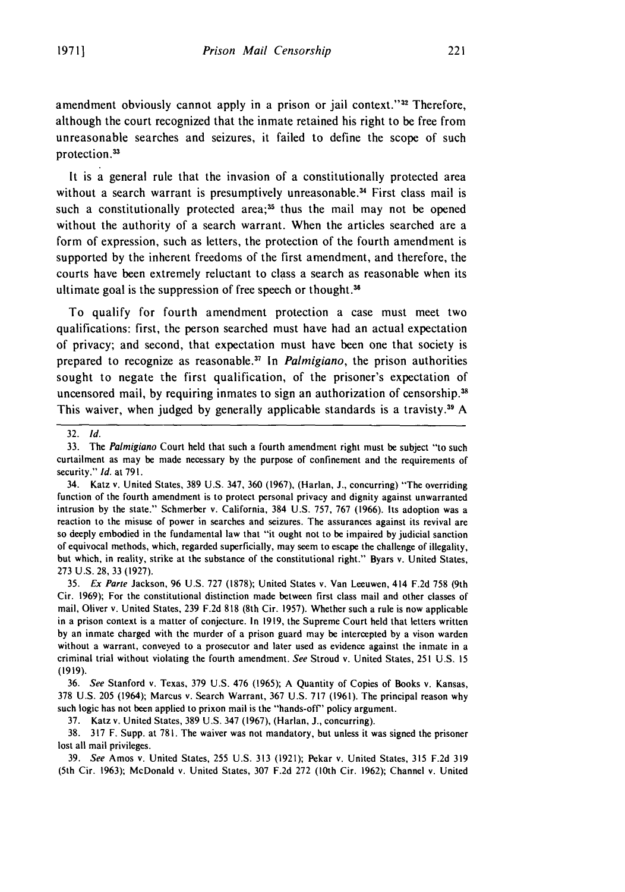amendment obviously cannot apply in a prison or jail context."<sup>32</sup> Therefore, although the court recognized that the inmate retained his right to be free from unreasonable searches and seizures, it failed to define the scope of such protection.<sup>33</sup>

It is a general rule that the invasion of a constitutionally protected area without a search warrant is presumptively unreasonable.<sup>34</sup> First class mail is such a constitutionally protected area; $35$  thus the mail may not be opened without the authority of a search warrant. When the articles searched are a form of expression, such as letters, the protection of the fourth amendment is supported by the inherent freedoms of the first amendment, and therefore, the courts have been extremely reluctant to class a search as reasonable when its ultimate goal is the suppression of free speech or thought.<sup>36</sup>

To qualify for fourth amendment protection a case must meet two qualifications: first, the person searched must have had an actual expectation of privacy; and second, that expectation must have been one that society is prepared to recognize as reasonable. 37 In *Palmigiano,* the prison authorities sought to negate the first qualification, of the prisoner's expectation of uncensored mail, by requiring inmates to sign an authorization of censorship.<sup>38</sup> This waiver, when judged by generally applicable standards is a travisty.<sup>39</sup> A

35. Ex Parte Jackson, 96 U.S. 727 (1878); United States v. Van Leeuwen, 414 F.2d 758 (9th Cir. 1969); For the constitutional distinction made between first class mail and other classes of mail, Oliver v. United States, 239 F.2d 818 (8th Cir. 1957). Whether such a rule is now applicable in a prison context is a matter of conjecture. In 1919, the Supreme Court held that letters written by an inmate charged with the murder of a prison guard may be intercepted by a vison warden without a warrant, conveyed to a prosecutor and later used as evidence against the inmate in a criminal trial without violating the fourth amendment. See Stroud v. United States, 251 U.S. 15 (1919).

36. See Stanford v. Texas, 379 U.S. 476 (1965); A Quantity of Copies of Books v. Kansas, 378 U.S. 205 (1964); Marcus v. Search Warrant, 367 U.S. 717 (1961). The principal reason why such logic has not been applied to prixon mail is the "hands-off" policy argument.

37. Katz v. United States, 389 U.S. 347 (1967), (Harlan, **J.,** concurring).

38. 317 F. Supp. at 781. The waiver was not mandatory, but unless it was signed the prisoner lost all mail privileges.

39. See Amos v. United States, 255 U.S. 313 (1921); Pekar v. United States, 315 F.2d 319 (5th Cir. 1963); McDonald v. United States, 307 F.2d 272 (10th Cir. 1962); Channel v. United

<sup>32.</sup> *Id.*

<sup>33.</sup> The Palmigiano Court held that such a fourth amendment right must be subject "to such curtailment as may be made necessary by the purpose of confinement and the requirements of security." **Id.** at 791.

<sup>34.</sup> Katz v. United States, 389 U.S. 347, 360 (1967), (Harlan, **J.,** concurring) "The overriding function of the fourth amendment is to protect personal privacy and dignity against unwarranted intrusion by the state." Schmerber v. California, 384 U.S. 757, 767 (1966). Its adoption was a reaction to the misuse of power in searches and seizures. The assurances against its revival are so deeply embodied in the fundamental law that "it ought not to be impaired by judicial sanction of equivocal methods, which, regarded superficially, may seem to escape the challenge of illegality, but which, in reality, strike at the substance of the constitutional right." Byars v. United States, 273 U.S. 28, 33 (1927).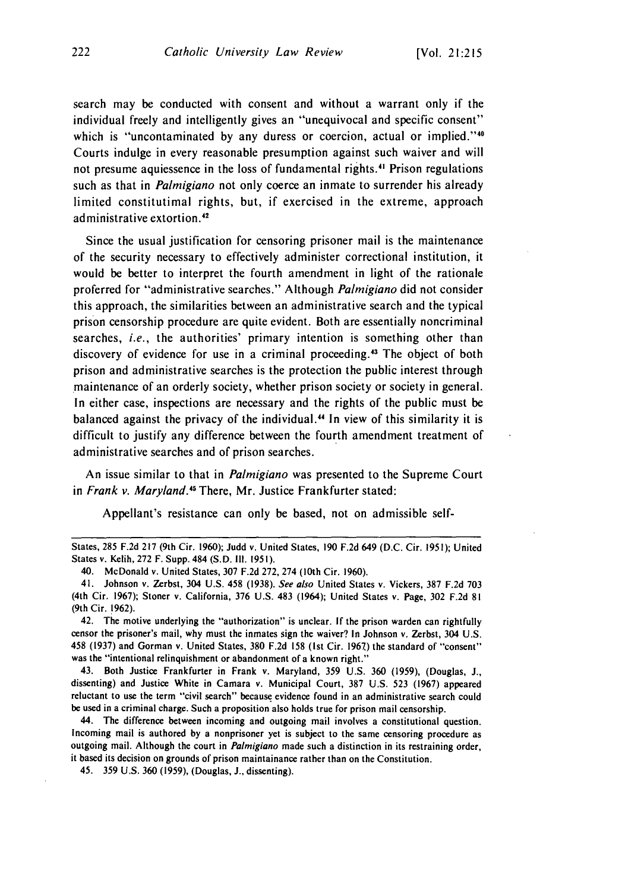search may be conducted with consent and without a warrant only if the individual freely and intelligently gives an "unequivocal and specific consent" which is "uncontaminated by any duress or coercion, actual or implied."<sup>40</sup> Courts indulge in every reasonable presumption against such waiver and will not presume aquiessence in the loss of fundamental rights.<sup>41</sup> Prison regulations such as that in *Palmigiano* not only coerce an inmate to surrender his already limited constitutimal rights, but, if exercised in the extreme, approach administrative extortion. <sup>42</sup>

Since the usual justification for censoring prisoner mail is the maintenance of the security necessary to effectively administer correctional institution, it would be better to interpret the fourth amendment in light of the rationale proferred for "administrative searches." Although *Palmigiano* did not consider this approach, the similarities between an administrative search and the typical prison censorship procedure are quite evident. Both are essentially noncriminal searches, *i.e.,* the authorities' primary intention is something other than discovery of evidence for use in a criminal proceeding.<sup>43</sup> The object of both prison and administrative searches is the protection the public interest through maintenance of an orderly society, whether prison society or society in general. In either case, inspections are necessary and the rights of the public must be balanced against the privacy of the individual. <sup>4</sup> 4 In view of this similarity it is difficult to justify any difference between the fourth amendment treatment of administrative searches and of prison searches.

An issue similar to that in *Palmigiano* was presented to the Supreme Court in *Frank v. Maryland.45* There, Mr. Justice Frankfurter stated:

Appellant's resistance can only be based, not on admissible self-

43. Both Justice Frankfurter in Frank v. Maryland, **359 U.S. 360 (1959),** (Douglas, **J.,** dissenting) and Justice White in Camara **v.** Municipal Court, **387 U.S. 523 (1967)** appeared reluctant to use the term "civil search" because evidence found in an administrative search could be used in a criminal charge. Such a proposition also holds true for prison mail censorship.

44. The difference between incoming and outgoing mail involves a constitutional question. Incoming mail is authored **by** a nonprisoner yet is subject to the same censoring procedure as outgoing mail. Although the court in *Palmigiano* made such a distinction in its restraining order, it based its decision on grounds of prison maintainance rather than on the Constitution.

45. **359 U.S. 360 (1959),** (Douglas, **J.,** dissenting).

States, **285 F.2d 217 (9th** Cir. **1960);** Judd **v.** United States, **190 F.2d** 649 **(D.C.** Cir. **1951);** United States v. Kelih, **272** F. Supp. 484 **(S.D. Ill. 1951).**

<sup>40.</sup> McDonald v. United States, **307 F.2d 272,** 274 (10th Cir. **1960).**

<sup>41.</sup> Johnson v. Zerbst, 304 **U.S.** 458 **(1938).** See also United States v. Vickers, **387 F.2d 703** (4th Cir. **1967);** Stoner v. California, **376 U.S.** 483 (1964); United States v. Page, **302 F.2d 81** (9th Cir. **1962).**

<sup>42.</sup> The motive underlying the "authorization" is unclear. **If** the prison warden can rightfully censor the prisoner's mail, why must the inmates sign the waiver? In Johnson v. Zerbst, 304 **U.S.** 458 **(1937)** and Gorman v. United States, **380 F.2d 158** (Ist Cir. **1967)** the standard of "consent" was the "intentional relinquishment or abandonment of a known right."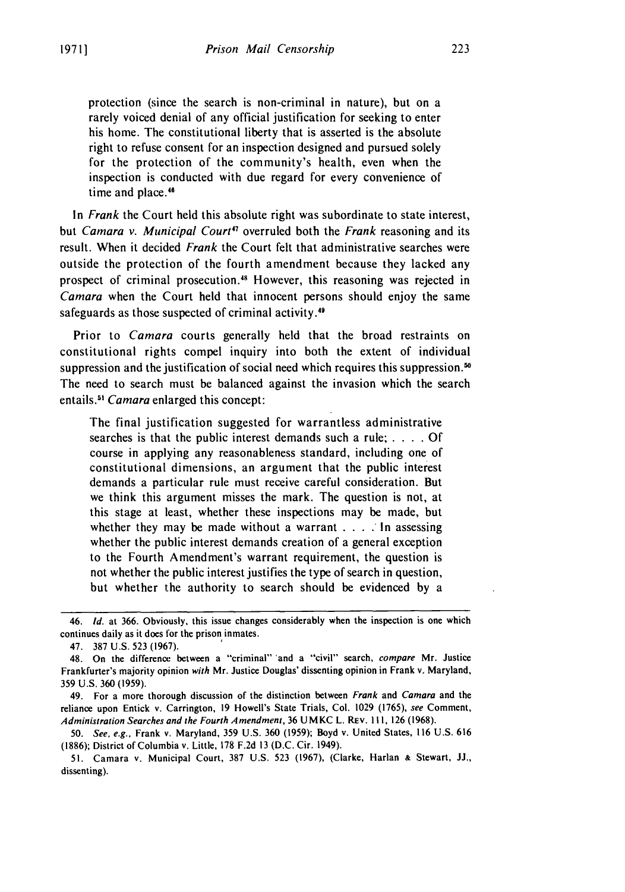protection (since the search is non-criminal in nature), but on a rarely voiced denial of any official justification for seeking to enter his home. The constitutional liberty that is asserted is the absolute right to refuse consent for an inspection designed and pursued solely for the protection of the community's health, even when the inspection is conducted with due regard for every convenience of time and place.<sup>46</sup>

In Frank the Court held this absolute right was subordinate to state interest, but *Camara v. Municipal Court<sup>47</sup>* overruled both the *Frank* reasoning and its result. When it decided *Frank* the Court felt that administrative searches were outside the protection of the fourth amendment because they lacked any prospect of criminal prosecution.48 However, this reasoning was rejected in Camara when the Court held that innocent persons should enjoy the same safeguards as those suspected of criminal activity.<sup>49</sup>

Prior to *Camara* courts generally held that the broad restraints on constitutional rights compel inquiry into both the extent of individual suppression and the justification of social need which requires this suppression.<sup>50</sup> The need to search must be balanced against the invasion which the search entails.<sup>51</sup> Camara enlarged this concept:

The final justification suggested for warrantless administrative searches is that the public interest demands such a rule; . **. .** . Of course in applying any reasonableness standard, including one of constitutional dimensions, an argument that the public interest demands a particular rule must receive careful consideration. But we think this argument misses the mark. The question is not, at this stage at least, whether these inspections may be made, but whether they may be made without a warrant . **.** . In assessing whether the public interest demands creation of a general exception to the Fourth Amendment's warrant requirement, the question is not whether the public interest justifies the type of search in question, but whether the authority to search should be evidenced by a

50. See, e.g., Frank v. Maryland, 359 U.S. 360 (1959); Boyd v. United States, 116 U.S. 616 (1886); District of Columbia v. Little, 178 F.2d 13 (D.C. Cir. 1949).

<sup>46.</sup> **Id.** at 366. Obviously, this issue changes considerably when the inspection is one which continues daily as it does for the prison inmates.

<sup>47. 387</sup> U.S. 523 (1967).

<sup>48.</sup> On the difference between a "criminal" 'and a "civil" search, compare Mr. Justice Frankfurter's majority opinion with Mr. Justice Douglas' dissenting opinion in Frank v. Maryland, 359 U.S. 360 (1959).

<sup>49.</sup> For a more thorough discussion of the distinction between Frank and Camara and the reliance upon Entick v. Carrington, 19 Howell's State Trials, Col. 1029 (1765), see Comment, Administration Searches and the Fourth Amendment, 36 UMKC L. REV. 111, 126 (1968).

<sup>51.</sup> Camara v. Municipal Court, 387 U.S. 523 (1967), (Clarke, Harlan **&** Stewart, **JJ.,** dissenting).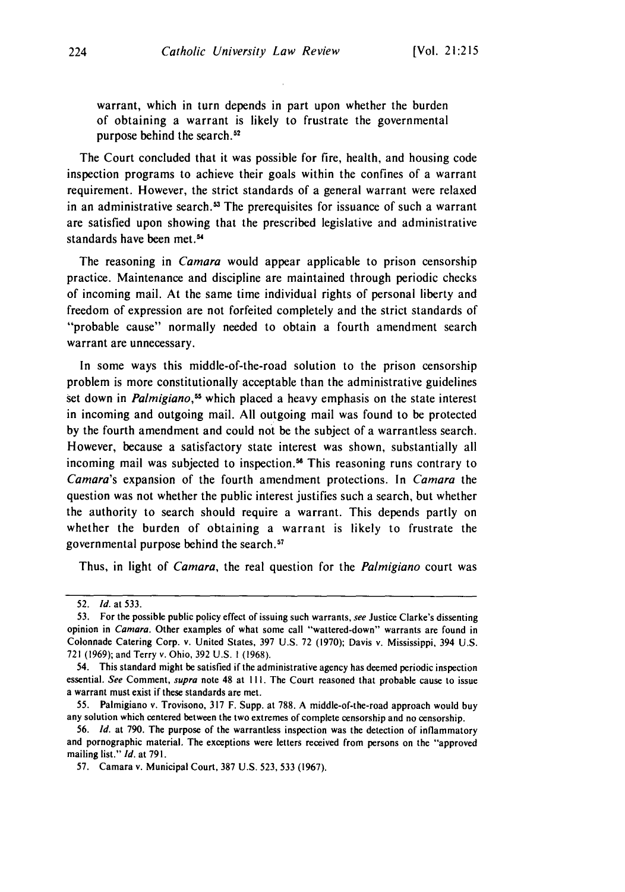warrant, which in turn depends in part upon whether the burden of obtaining a warrant is likely to frustrate the governmental purpose behind the search.<sup>52</sup>

The Court concluded that it was possible for fire, health, and housing code inspection programs to achieve their goals within the confines of a warrant requirement. However, the strict standards of a general warrant were relaxed in an administrative search.<sup>53</sup> The prerequisites for issuance of such a warrant are satisfied upon showing that the prescribed legislative and administrative standards have been met.<sup>54</sup>

The reasoning in *Camara* would appear applicable to prison censorship practice. Maintenance and discipline are maintained through periodic checks of incoming mail. At the same time individual rights of personal liberty and freedom of expression are not forfeited completely and the strict standards of "probable cause" normally needed to obtain a fourth amendment search warrant are unnecessary.

In some ways this middle-of-the-road solution to the prison censorship problem is more constitutionally acceptable than the administrative guidelines set down in *Palmigiano*,<sup>55</sup> which placed a heavy emphasis on the state interest in incoming and outgoing mail. All outgoing mail was found to be protected by the fourth amendment and could not be the subject of a warrantless search. However, because a satisfactory state interest was shown, substantially all incoming mail was subjected to inspection.<sup>56</sup> This reasoning runs contrary to Camara's expansion of the fourth amendment protections. In Camara the question was not whether the public interest justifies such a search, but whether the authority to search should require a warrant. This depends partly on whether the burden of obtaining a warrant is likely to frustrate the governmental purpose behind the search. <sup>57</sup>

Thus, in light of *Camara*, the real question for the *Palmigiano* court was

<sup>52.</sup> *Id.* at 533.

<sup>53.</sup> For the possible public policy effect of issuing such warrants, see Justice Clarke's dissenting opinion in Camara. Other examples of what some call "wattered-down" warrants are found in Colonnade Catering Corp. v. United States, 397 U.S. 72 (1970); Davis v. Mississippi, 394 U.S. 721 (1969); and Terry v. Ohio, 392 U.S. **1** (1968).

<sup>54.</sup> This standard might be satisfied if the administrative agency has deemed periodic inspection essential. See Comment, supra note 48 at I **1l.** The Court reasoned that probable cause to issue a warrant must exist if these standards are met.

<sup>55.</sup> Palmigiano v. Trovisono, 317 F. Supp. at 788. A middle-of-the-road approach would buy any solution which centered between the two extremes of complete censorship and no censorship.

<sup>56.</sup> *Id.* at 790. The purpose of the warrantless inspection was the detection of inflammatory and pornographic material, The exceptions were letters received from persons on the "approved mailing list." **Id.** at 791.

<sup>57.</sup> Camara v. Municipal Court, 387 U.S. 523, 533 (1967).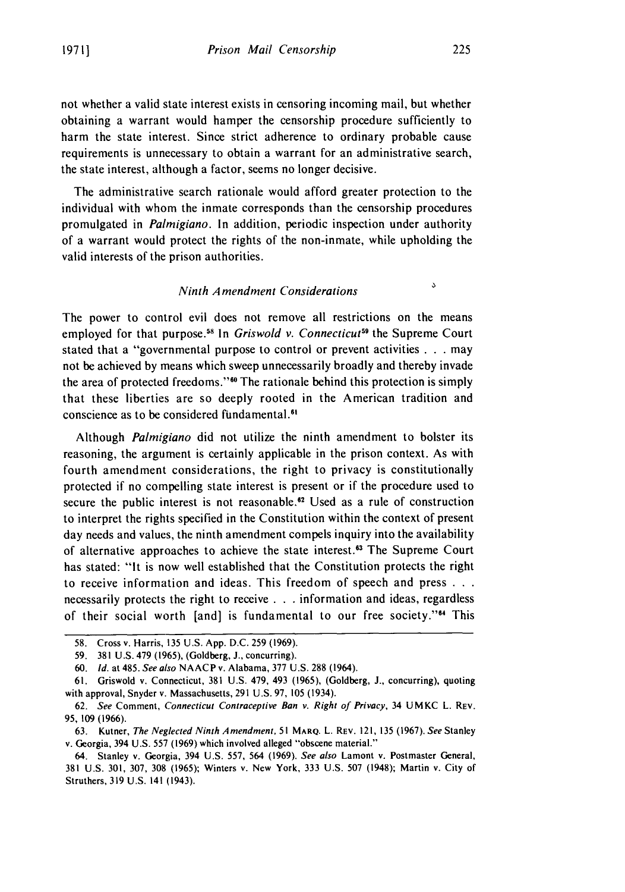not whether a valid state interest exists in censoring incoming mail, but whether obtaining a warrant would hamper the censorship procedure sufficiently to harm the state interest. Since strict adherence to ordinary probable cause requirements is unnecessary to obtain a warrant for an administrative search, the state interest, although a factor, seems no longer decisive.

The administrative search rationale would afford greater protection to the individual with whom the inmate corresponds than the censorship procedures promulgated in Palmigiano. In addition, periodic inspection under authority of a warrant would protect the rights of the non-inmate, while upholding the valid interests of the prison authorities.

#### Ninth Amendment Considerations

The power to control evil does not remove all restrictions on the means employed for that purpose.<sup>58</sup> In Griswold v. Connecticut<sup>59</sup> the Supreme Court stated that a "governmental purpose to control or prevent activities **. . .** may not be achieved by means which sweep unnecessarily broadly and thereby invade the area of protected freedoms."<sup>60</sup> The rationale behind this protection is simply that these liberties are so deeply rooted in the American tradition and conscience as to be considered fundamental.<sup>61</sup>

Although Palmigiano did not utilize the ninth amendment to bolster its reasoning, the argument is certainly applicable in the prison context. As with fourth amendment considerations, the right to privacy is constitutionally protected if no compelling state interest is present or if the procedure used to secure the public interest is not reasonable.<sup>62</sup> Used as a rule of construction to interpret the rights specified in the Constitution within the context of present day needs and values, the ninth amendment compels inquiry into the availability of alternative approaches to achieve the state interest.<sup>63</sup> The Supreme Court has stated: "It is now well established that the Constitution protects the right to receive information and ideas. This freedom of speech and press **. . .** necessarily protects the right to receive **. . .** information and ideas, regardless of their social worth [and] is fundamental to our free society. '64 This

 $\mathcal{L}$ 

<sup>58.</sup> Cross v. Harris, 135 U.S. App. D.C. 259 (1969).

**<sup>59.</sup>** 381 U.S. 479 **(1965),** (Goldberg, **J.,** concurring).

<sup>60.</sup> *Id.* at 485. *See also* **NAACP** v. Alabama, 377 U.S. 288 (1964).

<sup>61.</sup> Griswold v. Connecticut, 381 U.S. 479, 493 (1965), (Goldberg, J., concurring), quoting with approval, Snyder v. Massachusetts, 291 U.S. 97, **105** (1934).

<sup>62.</sup> *See* Comment, *Connecticut Contraceptive Ban v. Right of Privacy,* 34 UMKC L. REV. 95, 109 (1966).

<sup>63.</sup> Kutner, *The Neglected Ninth Amendment.* 51 **MARQ.** L. REV. 121, 135 (1967). *See* Stanley v. Georgia, 394 U.S. 557 (1969) which involved alleged "obscene material."

<sup>64.</sup> Stanley v. Georgia, 394 U.S. 557, 564 (1969). *See also* Lamont v. Postmaster General, 381 U.S. 301, 307, 308 (1965); Winters v. New York, 333 U.S. 507 (1948); Martin v. City of Struthers, 319 U.S. 141 (1943).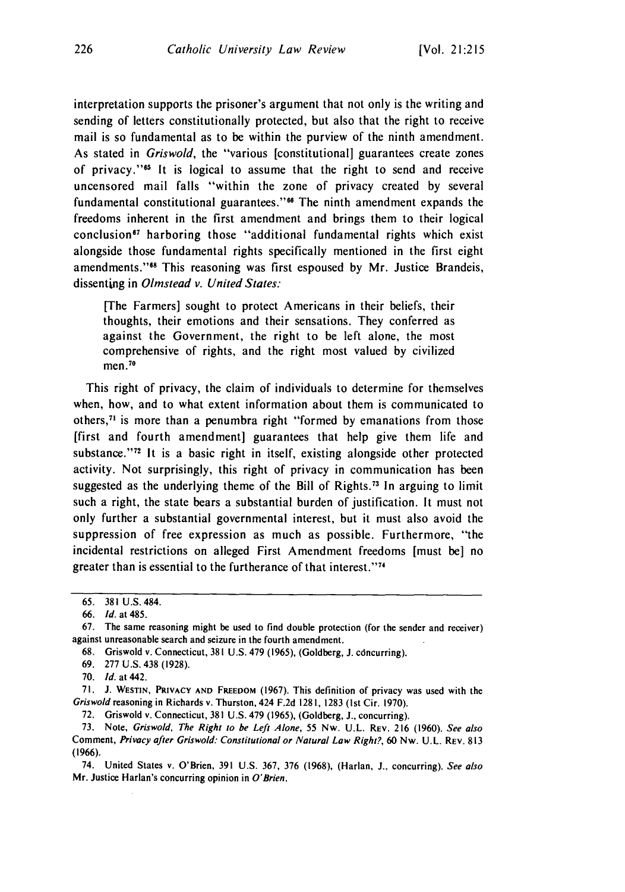interpretation supports the prisoner's argument that not only is the writing and sending of letters constitutionally protected, but also that the right to receive mail is so fundamental as to be within the purview of the ninth amendment. As stated in Griswold, the "various [constitutional] guarantees create zones of privacy." $65$  It is logical to assume that the right to send and receive uncensored mail falls "within the zone of privacy created by several fundamental constitutional guarantees."<sup>66</sup> The ninth amendment expands the freedoms inherent in the first amendment and brings them to their logical conclusion<sup>67</sup> harboring those "additional fundamental rights which exist alongside those fundamental rights specifically mentioned in the first eight amendments."<sup>88</sup> This reasoning was first espoused by Mr. Justice Brandeis, dissenting in Olmstead v. United States:

[The Farmers] sought to protect Americans in their beliefs, their thoughts, their emotions and their sensations. They conferred as against the Government, the right to be left alone, the most comprehensive of rights, and the right most valued by civilized men. $70$ 

This right of privacy, the claim of individuals to determine for themselves when, how, and to what extent information about them is communicated to others, $<sup>71</sup>$  is more than a penumbra right "formed by emanations from those</sup> [first and fourth amendment] guarantees that help give them life and substance." $72$  It is a basic right in itself, existing alongside other protected activity. Not surprisingly, this right of privacy in communication has been suggested as the underlying theme of the Bill of Rights.<sup>73</sup> In arguing to limit such a right, the state bears a substantial burden of justification. It must not only further a substantial governmental interest, but it must also avoid the suppression of free expression as much as possible. Furthermore, "the incidental restrictions on alleged First Amendment freedoms [must be] no greater than is essential to the furtherance of that interest."<sup>74</sup>

70. *Id.* at 442.

71. J. WESTIN, PRIVACY **AND** FREEDOM (1967). This definition of privacy was used with the Griswold reasoning in Richards v. Thurston, 424 F.2d 1281, 1283 (1st Cir. 1970).

72. Griswold v. Connecticut, 381 U.S. 479 (1965), (Goldberg, J., concurring).

73. Note, Griswold, The Right to be Left Alone, 55 Nw. U.L. REV. 216 (1960). See also Comment, Privacy after Griswold: Constitutional or Natural Law Right?, 60 Nw. U.L. REV. **813** (1966).

74. United States v. O'Brien, 391 U.S. 367, 376 (1968), (Harlan, **J.,** concurring). See also Mr. Justice Harlan's concurring opinion in O'Brien.

<sup>65. 381</sup> U.S. 484.

<sup>66.</sup> **Id.** at 485.

<sup>67.</sup> The same reasoning might be used to find double protection (for the sender and receiver) against unreasonable search and seizure in the fourth amendment.

<sup>68.</sup> Griswold v. Connecticut, 381 U.S. 479 (1965), (Goldberg, J. cdncurring).

<sup>69. 277</sup> U.S. 438 (1928).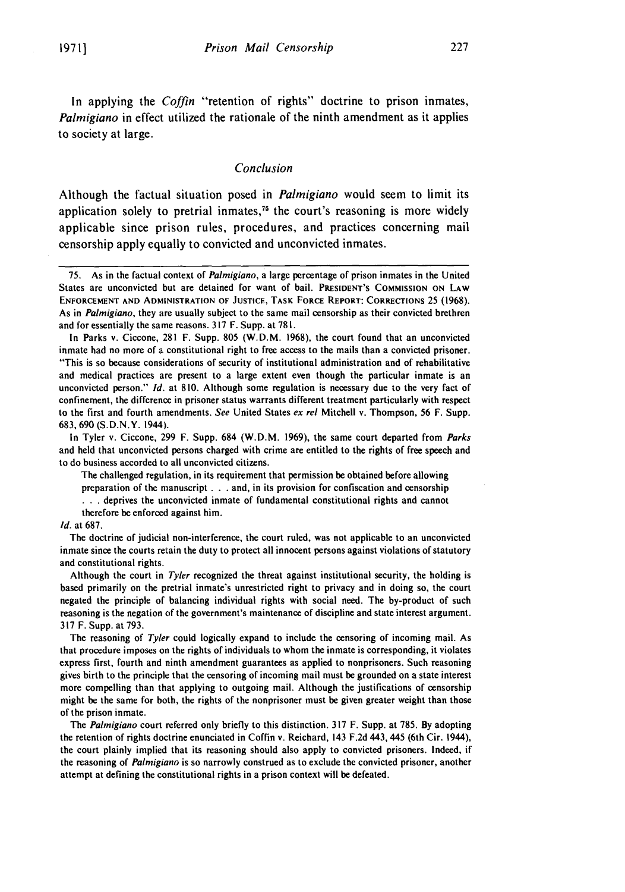In applying the *Coffin* "retention of rights" doctrine to prison inmates, *Palmigiano* in effect utilized the rationale of the ninth amendment as it applies to society at large.

#### *Conclusion*

Although the factual situation posed in *Palmigiano* would seem to limit its application solely to pretrial inmates,<sup> $75$ </sup> the court's reasoning is more widely applicable since prison rules, procedures, and practices concerning mail censorship apply equally to convicted and unconvicted inmates.

In Tyler v. Ciccone, 299 F. Supp. 684 (W.D.M. 1969), the same court departed from *Parks* and held that unconvicted persons charged with crime are entitled to the rights of free speech and to do business accorded to all unconvicted citizens.

The challenged regulation, in its requirement that permission be obtained before allowing preparation of the manuscript **. . .** and, in its provision for confiscation and censorship **• . .** deprives the unconvicted inmate of fundamental constitutional rights and cannot therefore be enforced against him.

#### Id. at 687.

The doctrine of judicial non-interference, the court ruled, was not applicable to an unconvicted inmate since the courts retain the duty to protect all innocent persons against violations of statutory and constitutional rights.

Although the court in Tyler recognized the threat against institutional security, the holding is based primarily on the pretrial inmate's unrestricted right to privacy and in doing so, the court negated the principle of balancing individual rights with social need. The by-product of such reasoning is the negation of the government's maintenance of discipline and state interest argument. 317 F. Supp. at 793.

The reasoning of Tyler could logically expand to include the censoring of incoming mail. As that procedure imposes on the rights of individuals to whom the inmate is corresponding, it violates express first, fourth and ninth amendment guarantees as applied to nonprisoners. Such reasoning gives birth to the principle that the censoring of incoming mail must be grounded on a state interest more compelling than that applying to outgoing mail. Although the justifications of censorship might be the same for both, the rights of the nonprisoner must be given greater weight than those of the prison inmate.

The Palmigiano court referred only briefly to this distinction. 317 F. Supp. at 785. By adopting the retention of rights doctrine enunciated in Coffin v. Reichard, 143 F.2d 443, 445 (6th Cir. 1944), the court plainly implied that its reasoning should also apply to convicted prisoners. Indeed, if the reasoning of Palmigiano is so narrowly construed as to exclude the convicted prisoner, another attempt at defining the constitutional rights in a prison context will be defeated.

<sup>75.</sup> As in the factual context of Palmigiano, a large percentage of prison inmates in the United States are unconvicted but are detained for want of bail. **PRESIDENT'S COMMISSION** ON LAW **ENFORCEMENT AND ADMINISTRATION** OF **JUSTICE,** TASK FORCE REPORT: CORRECTIONS 25 **(1968).** As in *Palmigiano*, they are usually subject to the same mail censorship as their convicted brethren and for essentially the same reasons. 317 F. Supp. at 78 **1.**

In Parks v. Ciccone, 281 F. Supp. 805 (W.D.M. 1968), the court found that an unconvicted inmate had no more of a constitutional right to free access to the mails than a convicted prisoner. "This is so because considerations of security of institutional administration and of rehabilitative and medical practices are present to a large extent even though the particular inmate is an unconvicted person." Id. at 810. Although some regulation is necessary due to the very fact of confinement, the difference in prisoner status warrants different treatment particularly with respect to the first and fourth amendments. See United States ex rel Mitchell v. Thompson, 56 F. Supp. 683, 690 (S.D.N.Y. 1944).